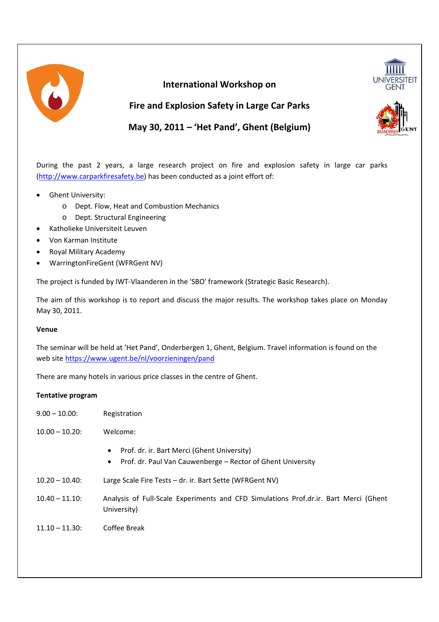

# **International Workshop on**



**Fire and Explosion Safety in Large Car Parks**

**May 30, 2011 – 'Het Pand', Ghent (Belgium)**

During the past 2 years, a large research project on fire and explosion safety in large car parks (http://www.carparkfiresafety.be) has been conducted as a joint effort of:

- Ghent University:
	- o Dept. Flow, Heat and Combustion Mechanics
	- o Dept. Structural Engineering
- Katholieke Universiteit Leuven
- Von Karman Institute
- Royal Military Academy
- WarringtonFireGent (WFRGent NV)

The project is funded by IWT‐Vlaanderen in the 'SBO' framework (Strategic Basic Research).

The aim of this workshop is to report and discuss the major results. The workshop takes place on Monday May 30, 2011.

# **Venue**

The seminar will be held at 'Het Pand', Onderbergen 1, Ghent, Belgium. Travel information is found on the web site https://www.ugent.be/nl/voorzieningen/pand

There are many hotels in various price classes in the centre of Ghent.

### **Tentative program**

| $9.00 - 10.00$    | Registration                                                                                                                 |
|-------------------|------------------------------------------------------------------------------------------------------------------------------|
| $10.00 - 10.20$   | Welcome:                                                                                                                     |
|                   | Prof. dr. ir. Bart Merci (Ghent University)<br>٠<br>Prof. dr. Paul Van Cauwenberge – Rector of Ghent University<br>$\bullet$ |
| $10.20 - 10.40$   | Large Scale Fire Tests - dr. ir. Bart Sette (WFRGent NV)                                                                     |
| $10.40 - 11.10$   | Analysis of Full-Scale Experiments and CFD Simulations Prof.dr.ir. Bart Merci (Ghent<br>University)                          |
| $11.10 - 11.30$ : | Coffee Break                                                                                                                 |